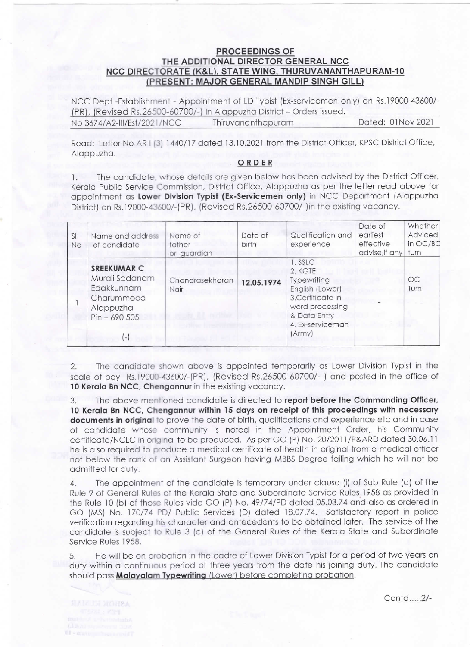## PROCEEDINGS OF THE ADDITIONAL DIRECTOR GENERAL NCC NCC DIRECTORATE (K&L), STATE WING, THURUVANANTHAPURAM-10 (PRESENT: MAJOR GENERAL MANDIP SINGH GILL)

NCC Dept -Establishment - Appointment of LD Typist (Ex-servicemen only) on Rs.19000-43600/-(PR), (Revised Rs.26500-60700/-) in Alappuzha District - Orders issued. No 3674/A2-Ill/Est/2021 /NCC Thiruvananthapuram Dated: 01 Nov 2021

Read: Letter No AR I (3) 1440/17 dated 13.10.2021 from the District Officer, KPSC District Office, Alappuzha.

## ORDER

1. The candidate, whose details are given below has been advised by the District Officer, Kerala Public Service Commission, District Office, Alappuzha as per the letter read above for appointment as Lower Division Typist (Ex-Servicemen only) in NCC Department (Alappuzha District) on Rs.19000-43600/-(PR), (Revised Rs.26500-60700/-)in the existing vacancy.

| SI<br>No | Name and address<br>of candidate                                                               | Name of<br>father<br>or guardian | Date of<br>birth | Qualification and<br>experience                                                                                                           | Date of<br>earliest<br>effective<br>advise, if any | Whether<br>Adviced<br>in OC/BC<br>turn |
|----------|------------------------------------------------------------------------------------------------|----------------------------------|------------------|-------------------------------------------------------------------------------------------------------------------------------------------|----------------------------------------------------|----------------------------------------|
|          | SREEKUMAR C<br>Murali Sadanam<br>Edakkunnam<br>Charummood<br>Alappuzha<br>$Pin - 690505$<br>Ξ, | Chandrasekharan<br>Nair          | 12.05.1974       | 1. SSLC<br>2. KGTE<br>Typewriting<br>English (Lower)<br>3.Certificate in<br>word processing<br>& Data Entry<br>4. Ex-serviceman<br>(Army) |                                                    | OC<br>Turn                             |

2. The candidate shown above is appointed temporarily as Lower Division Typist in the scale of pay Rs.19000-43600/-(PR), (Revised Rs.26500-60700/-) and posted in the office of 10 Kerala Bn NCC, Chengannur in the existing vacancy.

3. The above mentioned candidate is directed to report before the commanding officer, 10 Kerala Bn NCC, Chengannur within 15 days on receipt of this proceedings with necessary documents in original to prove the date of birth, qualifications and experience etc and in case of candidate whose community is noted in the Appointment Order, his Community certificate/NCLC in original to be produced. As per GO (P) No. 20/2011/P&ARD dated 30.06.11 he is also required to produce a medical certificate of health in original from a medical officer not below the rank of an Assistant Surgeon having MBBS Degree failing which he will not be admitted for duty.

4. The appointment of the candidate is temporary under clause (i) of sub Rule (a) of the Rule 9 of General Rules of the Kerala State and Subordinate Service Rules 1958 as provided in the Rule 10 (b) of those Rules vide GO (P) No. 49/74/PD dated 05.03.74 and also as ordered in GO (MS) No. 170/74 PD/ Public Services (D) dated 18.07.74. Satisfactory report in police verification regarding his character and antecedents to be obtained later. The service of the candidate is subject to Rule 3 (c) of the General Rules of the Kerala State and Subordinate Service Rules 1958.

5. He will be on probation in the cadre of Lower Division Typist for a period of two years on duty\within a continuous period of three years from the date his joining duty. The candidate should pass Malayalam Typewriting (Lower) before completing probation.